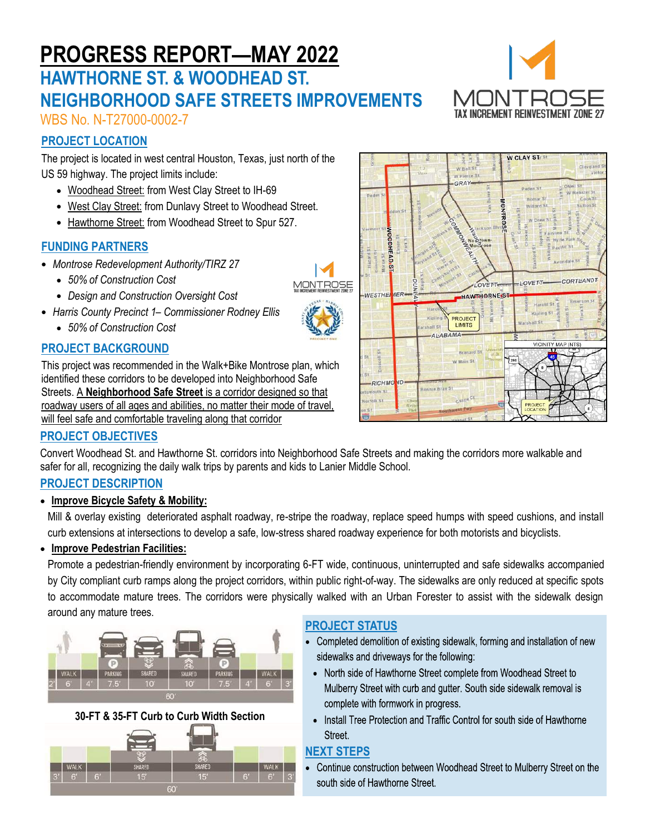# **PROGRESS REPORT—MAY 2022**

# **HAWTHORNE ST. & WOODHEAD ST. NEIGHBORHOOD SAFE STREETS IMPROVEMENTS**



WBS No. N-T27000-0002-7

# **PROJECT LOCATION**

The project is located in west central Houston, Texas, just north of the US 59 highway. The project limits include:

- Woodhead Street: from West Clay Street to IH-69
- West Clay Street: from Dunlavy Street to Woodhead Street.
- Hawthorne Street: from Woodhead Street to Spur 527.

# **FUNDING PARTNERS**

- *Montrose Redevelopment Authority/TIRZ 27*
	- *50% of Construction Cost*
	- *Design and Construction Oversight Cost*
- *Harris County Precinct 1– Commissioner Rodney Ellis*
	- *50% of Construction Cost*

# **PROJECT BACKGROUND**

This project was recommended in the Walk+Bike Montrose plan, which identified these corridors to be developed into Neighborhood Safe Streets. A **Neighborhood Safe Street** is a corridor designed so that roadway users of all ages and abilities, no matter their mode of travel, will feel safe and comfortable traveling along that corridor



# **PROJECT OBJECTIVES**

Convert Woodhead St. and Hawthorne St. corridors into Neighborhood Safe Streets and making the corridors more walkable and safer for all, recognizing the daily walk trips by parents and kids to Lanier Middle School.

# **PROJECT DESCRIPTION**

#### • **Improve Bicycle Safety & Mobility:**

Mill & overlay existing deteriorated asphalt roadway, re-stripe the roadway, replace speed humps with speed cushions, and install curb extensions at intersections to develop a safe, low-stress shared roadway experience for both motorists and bicyclists.

#### • **Improve Pedestrian Facilities:**

Promote a pedestrian-friendly environment by incorporating 6-FT wide, continuous, uninterrupted and safe sidewalks accompanied by City compliant curb ramps along the project corridors, within public right-of-way. The sidewalks are only reduced at specific spots to accommodate mature trees. The corridors were physically walked with an Urban Forester to assist with the sidewalk design around any mature trees.



**30-FT & 35-FT Curb to Curb Width Section**



# **PROJECT STATUS**

- Completed demolition of existing sidewalk, forming and installation of new sidewalks and driveways for the following:
- North side of Hawthorne Street complete from Woodhead Street to Mulberry Street with curb and gutter. South side sidewalk removal is complete with formwork in progress.
- Install Tree Protection and Traffic Control for south side of Hawthorne Street.

# **NEXT STEPS**

Continue construction between Woodhead Street to Mulberry Street on the south side of Hawthorne Street.